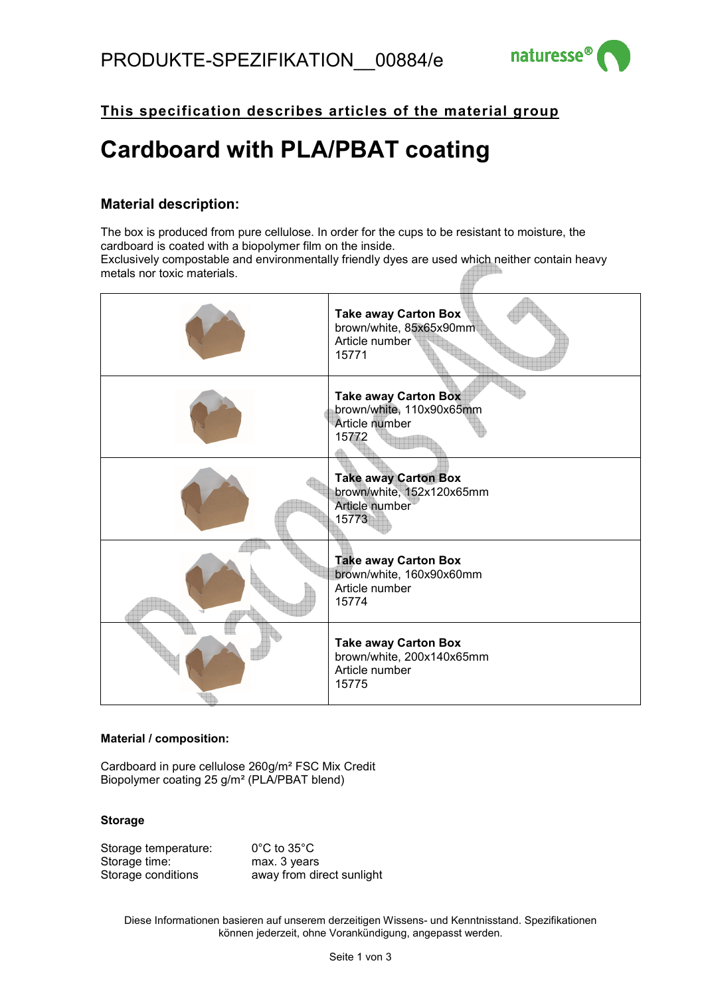

**This specification describes articles of the material group**

## **Cardboard with PLA/PBAT coating**

## **Material description:**

The box is produced from pure cellulose. In order for the cups to be resistant to moisture, the cardboard is coated with a biopolymer film on the inside. Exclusively compostable and environmentally friendly dyes are used which neither contain heavy metals nor toxic materials.



## **Material / composition:**

Cardboard in pure cellulose 260g/m² FSC Mix Credit Biopolymer coating 25 g/m² (PLA/PBAT blend)

## **Storage**

Storage temperature: 0°C to 35°C Storage time: max. 3 years Storage conditions **away from direct sunlight** 

Diese Informationen basieren auf unserem derzeitigen Wissens- und Kenntnisstand. Spezifikationen können jederzeit, ohne Vorankündigung, angepasst werden.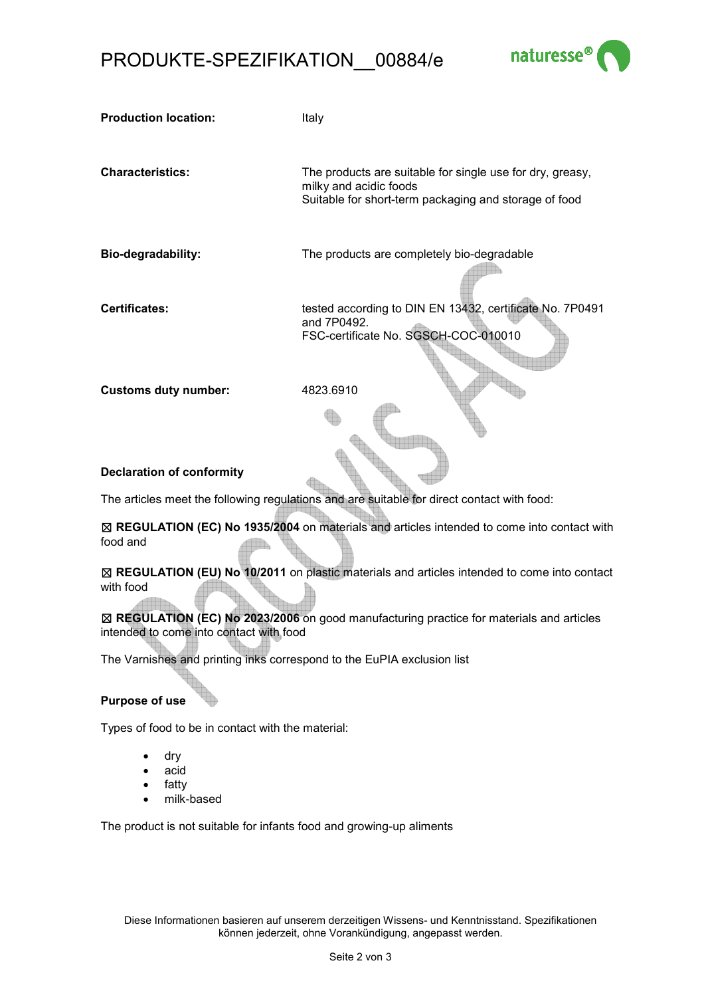## PRODUKTE-SPEZIFIKATION\_\_00884/e



| <b>Production location:</b>                                                                                                         | Italy                                                                                                                                        |  |  |  |
|-------------------------------------------------------------------------------------------------------------------------------------|----------------------------------------------------------------------------------------------------------------------------------------------|--|--|--|
| <b>Characteristics:</b>                                                                                                             | The products are suitable for single use for dry, greasy,<br>milky and acidic foods<br>Suitable for short-term packaging and storage of food |  |  |  |
| Bio-degradability:                                                                                                                  | The products are completely bio-degradable                                                                                                   |  |  |  |
| <b>Certificates:</b>                                                                                                                | tested according to DIN EN 13432, certificate No. 7P0491<br>and 7P0492.<br>FSC-certificate No. SGSCH-COC-010010                              |  |  |  |
| <b>Customs duty number:</b>                                                                                                         | 4823.6910                                                                                                                                    |  |  |  |
| <b>Declaration of conformity</b>                                                                                                    |                                                                                                                                              |  |  |  |
| The articles meet the following regulations and are suitable for direct contact with food:                                          |                                                                                                                                              |  |  |  |
| food and                                                                                                                            | ⊠ REGULATION (EC) No 1935/2004 on materials and articles intended to come into contact with                                                  |  |  |  |
| ⊠ REGULATION (EU) No 10/2011 on plastic materials and articles intended to come into contact<br>with food                           |                                                                                                                                              |  |  |  |
| ⊠ REGULATION (EC) No 2023/2006 on good manufacturing practice for materials and articles<br>intended to come into contact with food |                                                                                                                                              |  |  |  |
| The Varnishes and printing inks correspond to the EuPIA exclusion list                                                              |                                                                                                                                              |  |  |  |

# **Purpose of use**

Types of food to be in contact with the material:

- dry
- acid
- fatty
- milk-based

The product is not suitable for infants food and growing-up aliments